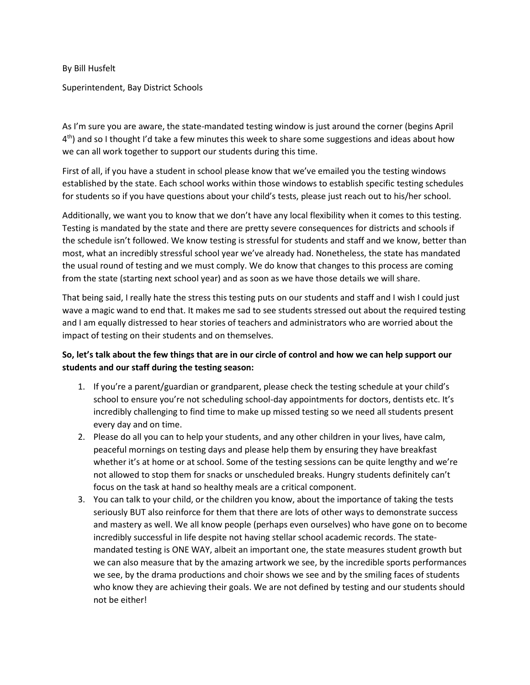By Bill Husfelt

Superintendent, Bay District Schools

As I'm sure you are aware, the state-mandated testing window is just around the corner (begins April 4<sup>th</sup>) and so I thought I'd take a few minutes this week to share some suggestions and ideas about how we can all work together to support our students during this time.

First of all, if you have a student in school please know that we've emailed you the testing windows established by the state. Each school works within those windows to establish specific testing schedules for students so if you have questions about your child's tests, please just reach out to his/her school.

Additionally, we want you to know that we don't have any local flexibility when it comes to this testing. Testing is mandated by the state and there are pretty severe consequences for districts and schools if the schedule isn't followed. We know testing is stressful for students and staff and we know, better than most, what an incredibly stressful school year we've already had. Nonetheless, the state has mandated the usual round of testing and we must comply. We do know that changes to this process are coming from the state (starting next school year) and as soon as we have those details we will share.

That being said, I really hate the stress this testing puts on our students and staff and I wish I could just wave a magic wand to end that. It makes me sad to see students stressed out about the required testing and I am equally distressed to hear stories of teachers and administrators who are worried about the impact of testing on their students and on themselves.

## **So, let's talk about the few things that are in our circle of control and how we can help support our students and our staff during the testing season:**

- 1. If you're a parent/guardian or grandparent, please check the testing schedule at your child's school to ensure you're not scheduling school-day appointments for doctors, dentists etc. It's incredibly challenging to find time to make up missed testing so we need all students present every day and on time.
- 2. Please do all you can to help your students, and any other children in your lives, have calm, peaceful mornings on testing days and please help them by ensuring they have breakfast whether it's at home or at school. Some of the testing sessions can be quite lengthy and we're not allowed to stop them for snacks or unscheduled breaks. Hungry students definitely can't focus on the task at hand so healthy meals are a critical component.
- 3. You can talk to your child, or the children you know, about the importance of taking the tests seriously BUT also reinforce for them that there are lots of other ways to demonstrate success and mastery as well. We all know people (perhaps even ourselves) who have gone on to become incredibly successful in life despite not having stellar school academic records. The statemandated testing is ONE WAY, albeit an important one, the state measures student growth but we can also measure that by the amazing artwork we see, by the incredible sports performances we see, by the drama productions and choir shows we see and by the smiling faces of students who know they are achieving their goals. We are not defined by testing and our students should not be either!